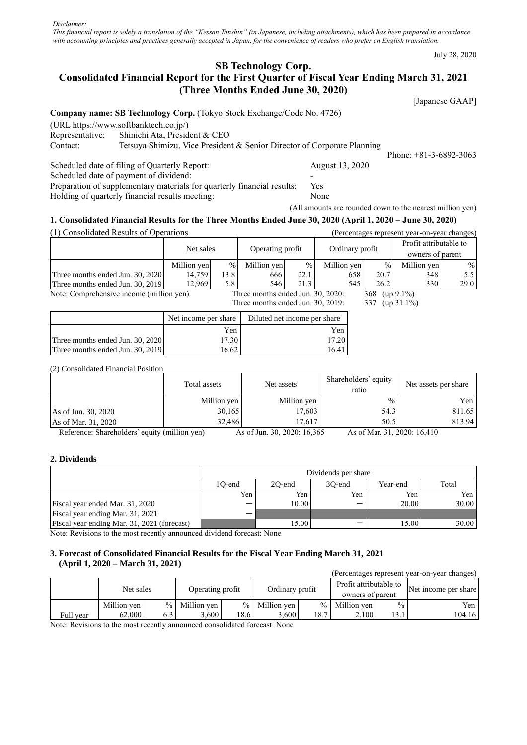July 28, 2020

# **SB Technology Corp.**

# **Consolidated Financial Report for the First Quarter of Fiscal Year Ending March 31, 2021 (Three Months Ended June 30, 2020)**

[Japanese GAAP]

**Company name: SB Technology Corp.** (Tokyo Stock Exchange/Code No. 4726)

(URL https://www.softbanktech.co.jp/)

Representative: Shinichi Ata, President & CEO

Contact: Tetsuya Shimizu, Vice President & Senior Director of Corporate Planning

Phone: +81-3-6892-3063

Scheduled date of filing of Quarterly Report: August 13, 2020 Scheduled date of payment of dividend: Preparation of supplementary materials for quarterly financial results: Yes Holding of quarterly financial results meeting: None

(All amounts are rounded down to the nearest million yen)

### **1. Consolidated Financial Results for the Three Months Ended June 30, 2020 (April 1, 2020 – June 30, 2020)**

| (1) Consolidated Results of Operations |             |     |                  |      |                 |      | (Percentages represent year-on-year changes) |      |
|----------------------------------------|-------------|-----|------------------|------|-----------------|------|----------------------------------------------|------|
|                                        | Net sales   |     | Operating profit |      | Ordinary profit |      | Profit attributable to<br>owners of parent   |      |
|                                        | Million yen | %   | Million yen      | $\%$ | Million yen     | %    | Million ven                                  | %    |
| Three months ended Jun. 30, 2020       | 14.759      | 3.8 | 666              | 22.1 | 658             | 20.7 | 348                                          | 5.5  |
| Three months ended Jun. 30, 2019       | 12.969      | 5.8 | 546              | 21.3 | 545.            | 26.2 | 330                                          | 29.0 |

Note: Comprehensive income (million yen) Three months ended Jun. 30, 2020: 368 (up 9.1%) Three months ended Jun. 30, 2019: 337 (up 31.1%)

|                                  | Net income per share | Diluted net income per share |
|----------------------------------|----------------------|------------------------------|
|                                  | Yen.                 | Yen                          |
| Three months ended Jun. 30, 2020 | 17.30                | 17.20                        |
| Three months ended Jun. 30, 2019 | 16.62                | 16.41                        |

#### (2) Consolidated Financial Position

|                                               | Total assets | Net assets                        | Shareholders' equity<br>ratio  | Net assets per share |
|-----------------------------------------------|--------------|-----------------------------------|--------------------------------|----------------------|
|                                               | Million yen  | Million yen                       | $\%$                           | Yen I                |
| As of Jun. 30, 2020                           | 30.165       | 17,603                            | 54.3                           | 811.65               |
| As of Mar. 31, 2020                           | 32.486       | 17.617                            | 50.5                           | 813.94               |
| Deference: Shareholders' equity (million yen) |              | $A_0$ of Lun $30.2020$ , $16.365$ | $A_0$ of Mor. 21, 2020: 16,410 |                      |

Reference: Shareholders' equity (million yen) As of Jun. 30, 2020: 16,365 As of Mar. 31, 2020: 16,410

### **2. Dividends**

|                                             |        | Dividends per share                   |     |       |       |  |  |  |  |
|---------------------------------------------|--------|---------------------------------------|-----|-------|-------|--|--|--|--|
|                                             | 1O-end | Total<br>Year-end<br>20-end<br>30-end |     |       |       |  |  |  |  |
|                                             | Yen    | Yen                                   | Yen | Yen   | Yen 1 |  |  |  |  |
| Fiscal year ended Mar. 31, 2020             |        | 10.00                                 |     | 20.00 | 30.00 |  |  |  |  |
| Fiscal year ending Mar. 31, 2021            |        |                                       |     |       |       |  |  |  |  |
| Fiscal year ending Mar. 31, 2021 (forecast) |        | 5.00                                  |     | 15.00 | 30.00 |  |  |  |  |

Note: Revisions to the most recently announced dividend forecast: None

#### **3. Forecast of Consolidated Financial Results for the Fiscal Year Ending March 31, 2021 (April 1, 2020 – March 31, 2021)**

| (Percentages represent year-on-year changes) |                 |     |                  |      |                 |               |                                            |               |                      |
|----------------------------------------------|-----------------|-----|------------------|------|-----------------|---------------|--------------------------------------------|---------------|----------------------|
|                                              | Net sales       |     | Operating profit |      | Ordinary profit |               | Profit attributable to<br>owners of parent |               | Net income per share |
|                                              | Million yen     |     | $%$ Million yen  |      | $%$ Million yen | $\frac{9}{6}$ | Million yen                                | $\frac{0}{0}$ | Yen                  |
| Full year                                    | 62,000          | 6.3 | ۔600             | 18.6 | 3.600           | 18.7          | 2.100                                      | 13.1          | 104.16               |
| $\mathbf{v}$                                 | $\sim$ $\sim$ 1 |     |                  |      | . 37            |               |                                            |               |                      |

Note: Revisions to the most recently announced consolidated forecast: None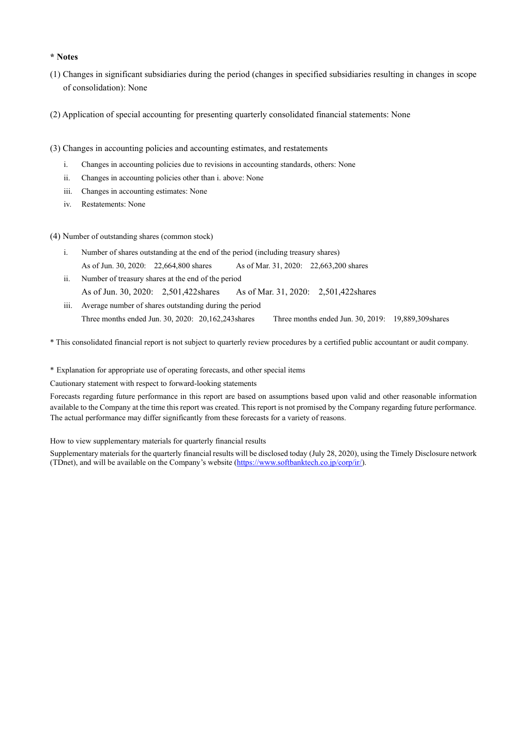#### **\* Notes**

- (1) Changes in significant subsidiaries during the period (changes in specified subsidiaries resulting in changes in scope of consolidation): None
- (2) Application of special accounting for presenting quarterly consolidated financial statements: None
- (3) Changes in accounting policies and accounting estimates, and restatements
	- i. Changes in accounting policies due to revisions in accounting standards, others: None
	- ii. Changes in accounting policies other than i. above: None
	- iii. Changes in accounting estimates: None
	- iv. Restatements: None

#### (4) Number of outstanding shares (common stock)

- i. Number of shares outstanding at the end of the period (including treasury shares) As of Jun. 30, 2020: 22, 664, 800 shares As of Mar. 31, 2020: 22, 663, 200 shares
- ii. Number of treasury shares at the end of the period As of Jun. 30, 2020: 2,501,422shares As of Mar. 31, 2020: 2,501,422shares
- iii. Average number of shares outstanding during the period Three months ended Jun. 30, 2020: 20,162,243shares Three months ended Jun. 30, 2019: 19,889,309shares

\* This consolidated financial report is not subject to quarterly review procedures by a certified public accountant or audit company.

\* Explanation for appropriate use of operating forecasts, and other special items

Cautionary statement with respect to forward-looking statements

Forecasts regarding future performance in this report are based on assumptions based upon valid and other reasonable information available to the Company at the time this report was created. This report is not promised by the Company regarding future performance. The actual performance may differ significantly from these forecasts for a variety of reasons.

How to view supplementary materials for quarterly financial results

Supplementary materials for the quarterly financial results will be disclosed today (July 28, 2020), using the Timely Disclosure network (TDnet), and will be available on the Company's website [\(https://www.softbanktech.co.jp/corp/ir/\)](https://www.softbanktech.co.jp/corp/ir/).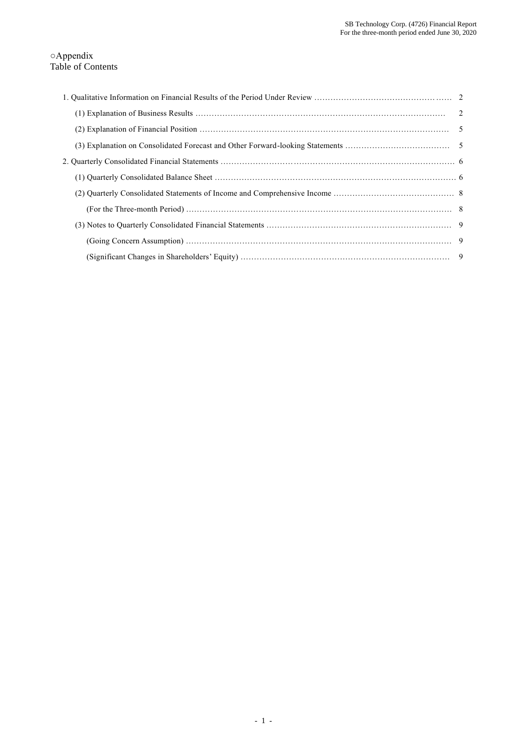## ○Appendix Table of Contents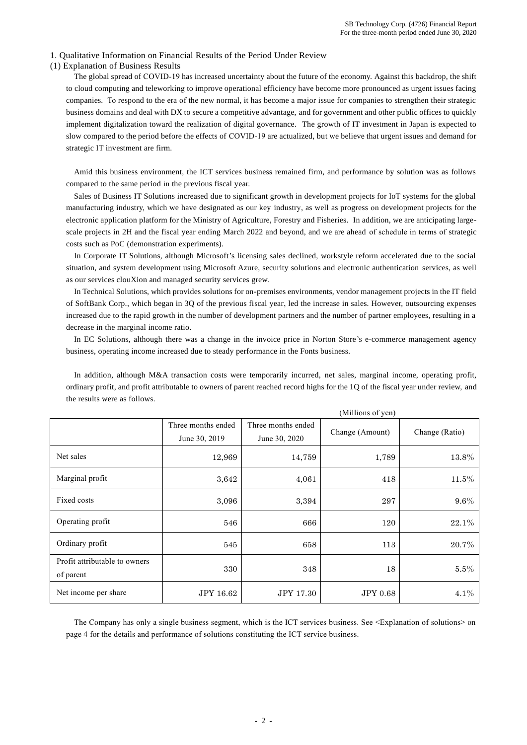#### 1. Qualitative Information on Financial Results of the Period Under Review

#### (1) Explanation of Business Results

The global spread of COVID-19 has increased uncertainty about the future of the economy. Against this backdrop, the shift to cloud computing and teleworking to improve operational efficiency have become more pronounced as urgent issues facing companies. To respond to the era of the new normal, it has become a major issue for companies to strengthen their strategic business domains and deal with DX to secure a competitive advantage, and for government and other public offices to quickly implement digitalization toward the realization of digital governance. The growth of IT investment in Japan is expected to slow compared to the period before the effects of COVID-19 are actualized, but we believe that urgent issues and demand for strategic IT investment are firm.

Amid this business environment, the ICT services business remained firm, and performance by solution was as follows compared to the same period in the previous fiscal year.

Sales of Business IT Solutions increased due to significant growth in development projects for IoT systems for the global manufacturing industry, which we have designated as our key industry, as well as progress on development projects for the electronic application platform for the Ministry of Agriculture, Forestry and Fisheries. In addition, we are anticipating largescale projects in 2H and the fiscal year ending March 2022 and beyond, and we are ahead of schedule in terms of strategic costs such as PoC (demonstration experiments).

In Corporate IT Solutions, although Microsoft's licensing sales declined, workstyle reform accelerated due to the social situation, and system development using Microsoft Azure, security solutions and electronic authentication services, as well as our services clouXion and managed security services grew.

In Technical Solutions, which provides solutions for on-premises environments, vendor management projects in the IT field of SoftBank Corp., which began in 3Q of the previous fiscal year, led the increase in sales. However, outsourcing expenses increased due to the rapid growth in the number of development partners and the number of partner employees, resulting in a decrease in the marginal income ratio.

In EC Solutions, although there was a change in the invoice price in Norton Store's e-commerce management agency business, operating income increased due to steady performance in the Fonts business.

In addition, although M&A transaction costs were temporarily incurred, net sales, marginal income, operating profit, ordinary profit, and profit attributable to owners of parent reached record highs for the 1Q of the fiscal year under review, and the results were as follows.

|                                            | (Millions of yen)                   |                                     |                 |                |
|--------------------------------------------|-------------------------------------|-------------------------------------|-----------------|----------------|
|                                            | Three months ended<br>June 30, 2019 | Three months ended<br>June 30, 2020 | Change (Amount) | Change (Ratio) |
| Net sales                                  | 12,969                              | 14,759                              | 1,789           | 13.8%          |
| Marginal profit                            | 3,642                               | 4,061                               | 418             | $11.5\%$       |
| Fixed costs                                | 3,096                               | 3,394                               | 297             | $9.6\%$        |
| Operating profit                           | 546                                 | 666                                 | 120             | 22.1%          |
| Ordinary profit                            | 545                                 | 658                                 | 113             | 20.7%          |
| Profit attributable to owners<br>of parent | 330                                 | 348                                 | 18              | $5.5\%$        |
| Net income per share                       | JPY 16.62                           | JPY 17.30                           | <b>JPY 0.68</b> | 4.1%           |

The Company has only a single business segment, which is the ICT services business. See <Explanation of solutions> on page 4 for the details and performance of solutions constituting the ICT service business.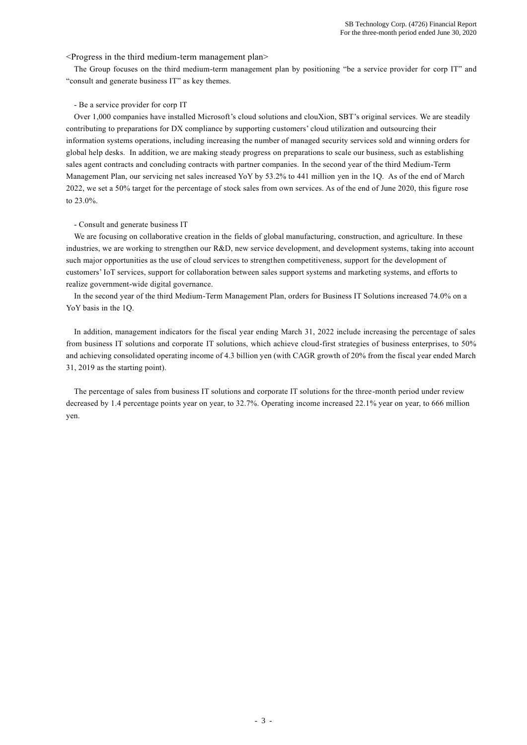<Progress in the third medium-term management plan>

The Group focuses on the third medium-term management plan by positioning "be a service provider for corp IT" and "consult and generate business IT" as key themes.

#### - Be a service provider for corp IT

Over 1,000 companies have installed Microsoft's cloud solutions and clouXion, SBT's original services. We are steadily contributing to preparations for DX compliance by supporting customers' cloud utilization and outsourcing their information systems operations, including increasing the number of managed security services sold and winning orders for global help desks. In addition, we are making steady progress on preparations to scale our business, such as establishing sales agent contracts and concluding contracts with partner companies. In the second year of the third Medium-Term Management Plan, our servicing net sales increased YoY by 53.2% to 441 million yen in the 1Q. As of the end of March 2022, we set a 50% target for the percentage of stock sales from own services. As of the end of June 2020, this figure rose to 23.0%.

#### - Consult and generate business IT

We are focusing on collaborative creation in the fields of global manufacturing, construction, and agriculture. In these industries, we are working to strengthen our R&D, new service development, and development systems, taking into account such major opportunities as the use of cloud services to strengthen competitiveness, support for the development of customers' IoT services, support for collaboration between sales support systems and marketing systems, and efforts to realize government-wide digital governance.

In the second year of the third Medium-Term Management Plan, orders for Business IT Solutions increased 74.0% on a YoY basis in the 1Q.

In addition, management indicators for the fiscal year ending March 31, 2022 include increasing the percentage of sales from business IT solutions and corporate IT solutions, which achieve cloud-first strategies of business enterprises, to 50% and achieving consolidated operating income of 4.3 billion yen (with CAGR growth of 20% from the fiscal year ended March 31, 2019 as the starting point).

The percentage of sales from business IT solutions and corporate IT solutions for the three-month period under review decreased by 1.4 percentage points year on year, to 32.7%. Operating income increased 22.1% year on year, to 666 million yen.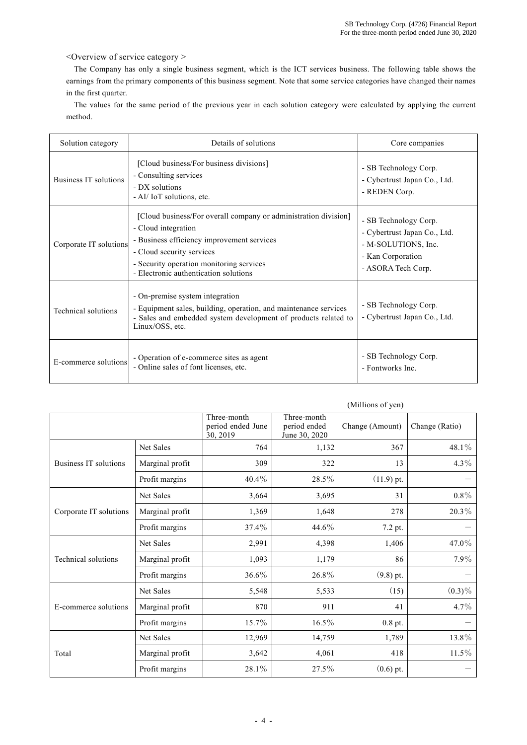<Overview of service category >

The Company has only a single business segment, which is the ICT services business. The following table shows the earnings from the primary components of this business segment. Note that some service categories have changed their names in the first quarter.

The values for the same period of the previous year in each solution category were calculated by applying the current method.

| Solution category            | Details of solutions                                                                                                                                                                                                                                   | Core companies                                                                                                          |
|------------------------------|--------------------------------------------------------------------------------------------------------------------------------------------------------------------------------------------------------------------------------------------------------|-------------------------------------------------------------------------------------------------------------------------|
| <b>Business IT solutions</b> | [Cloud business/For business divisions]<br>- Consulting services<br>- DX solutions<br>- AI/ IoT solutions, etc.                                                                                                                                        | - SB Technology Corp.<br>- Cybertrust Japan Co., Ltd.<br>- REDEN Corp.                                                  |
| Corporate IT solutions       | [Cloud business/For overall company or administration division]<br>- Cloud integration<br>- Business efficiency improvement services<br>- Cloud security services<br>- Security operation monitoring services<br>- Electronic authentication solutions | - SB Technology Corp.<br>- Cybertrust Japan Co., Ltd.<br>- M-SOLUTIONS, Inc.<br>- Kan Corporation<br>- ASORA Tech Corp. |
| Technical solutions          | - On-premise system integration<br>- Equipment sales, building, operation, and maintenance services<br>- Sales and embedded system development of products related to<br>Linux/OSS, etc.                                                               | - SB Technology Corp.<br>- Cybertrust Japan Co., Ltd.                                                                   |
| E-commerce solutions         | - Operation of e-commerce sites as agent<br>- Online sales of font licenses, etc.                                                                                                                                                                      | - SB Technology Corp.<br>- Fontworks Inc.                                                                               |

| (Millions of yen)      |                  |                                              |                                              |                 |                |
|------------------------|------------------|----------------------------------------------|----------------------------------------------|-----------------|----------------|
|                        |                  | Three-month<br>period ended June<br>30, 2019 | Three-month<br>period ended<br>June 30, 2020 | Change (Amount) | Change (Ratio) |
|                        | <b>Net Sales</b> | 764                                          | 1,132                                        | 367             | 48.1%          |
| Business IT solutions  | Marginal profit  | 309                                          | 322                                          | 13              | $4.3\%$        |
|                        | Profit margins   | $40.4\%$                                     | 28.5%                                        | $(11.9)$ pt.    |                |
|                        | Net Sales        | 3,664                                        | 3,695                                        | 31              | $0.8\%$        |
| Corporate IT solutions | Marginal profit  | 1,369                                        | 1,648                                        | 278             | 20.3%          |
|                        | Profit margins   | $37.4\%$                                     | 44.6%                                        | 7.2 pt.         |                |
|                        | Net Sales        | 2,991                                        | 4,398                                        | 1,406           | 47.0%          |
| Technical solutions    | Marginal profit  | 1,093                                        | 1,179                                        | 86              | 7.9%           |
|                        | Profit margins   | 36.6%                                        | 26.8%                                        | $(9.8)$ pt.     |                |
|                        | Net Sales        | 5,548                                        | 5,533                                        | (15)            | $(0.3)\%$      |
| E-commerce solutions   | Marginal profit  | 870                                          | 911                                          | 41              | 4.7%           |
|                        | Profit margins   | 15.7%                                        | $16.5\%$                                     | $0.8$ pt.       |                |
|                        | Net Sales        | 12,969                                       | 14,759                                       | 1,789           | 13.8%          |
| Total                  | Marginal profit  | 3,642                                        | 4,061                                        | 418             | 11.5%          |
|                        | Profit margins   | 28.1%                                        | 27.5%                                        | $(0.6)$ pt.     |                |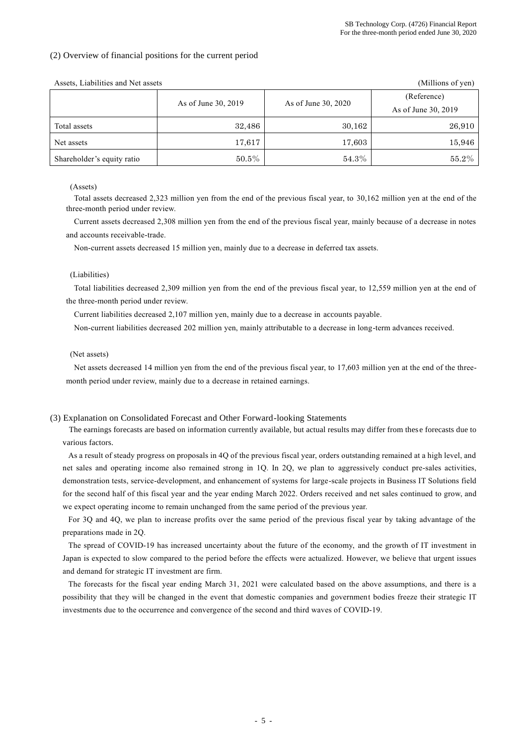### (2) Overview of financial positions for the current period

| Tracto, Endomned and Type assets |                     |                     |                                    |  |  |  |  |
|----------------------------------|---------------------|---------------------|------------------------------------|--|--|--|--|
|                                  | As of June 30, 2019 | As of June 30, 2020 | (Reference)<br>As of June 30, 2019 |  |  |  |  |
| Total assets                     | 32,486              | 30,162              | 26,910                             |  |  |  |  |
| Net assets                       | 17,617              | 17,603              | 15,946                             |  |  |  |  |
| Shareholder's equity ratio       | $50.5\%$            | 54.3%               | $55.2\%$                           |  |  |  |  |

Assets, Liabilities and Net assets (Millions of yen)

### (Assets)

Total assets decreased 2,323 million yen from the end of the previous fiscal year, to 30,162 million yen at the end of the three-month period under review.

Current assets decreased 2,308 million yen from the end of the previous fiscal year, mainly because of a decrease in notes and accounts receivable-trade.

Non-current assets decreased 15 million yen, mainly due to a decrease in deferred tax assets.

#### (Liabilities)

Total liabilities decreased 2,309 million yen from the end of the previous fiscal year, to 12,559 million yen at the end of the three-month period under review.

Current liabilities decreased 2,107 million yen, mainly due to a decrease in accounts payable.

Non-current liabilities decreased 202 million yen, mainly attributable to a decrease in long-term advances received.

#### (Net assets)

Net assets decreased 14 million yen from the end of the previous fiscal year, to 17,603 million yen at the end of the threemonth period under review, mainly due to a decrease in retained earnings.

### (3) Explanation on Consolidated Forecast and Other Forward-looking Statements

The earnings forecasts are based on information currently available, but actual results may differ from thes e forecasts due to various factors.

As a result of steady progress on proposals in 4Q of the previous fiscal year, orders outstanding remained at a high level, and net sales and operating income also remained strong in 1Q. In 2Q, we plan to aggressively conduct pre-sales activities, demonstration tests, service-development, and enhancement of systems for large-scale projects in Business IT Solutions field for the second half of this fiscal year and the year ending March 2022. Orders received and net sales continued to grow, and we expect operating income to remain unchanged from the same period of the previous year.

For 3Q and 4Q, we plan to increase profits over the same period of the previous fiscal year by taking advantage of the preparations made in 2Q.

The spread of COVID-19 has increased uncertainty about the future of the economy, and the growth of IT investment in Japan is expected to slow compared to the period before the effects were actualized. However, we believe that urgent issues and demand for strategic IT investment are firm.

The forecasts for the fiscal year ending March 31, 2021 were calculated based on the above assumptions, and there is a possibility that they will be changed in the event that domestic companies and government bodies freeze their strategic IT investments due to the occurrence and convergence of the second and third waves of COVID-19.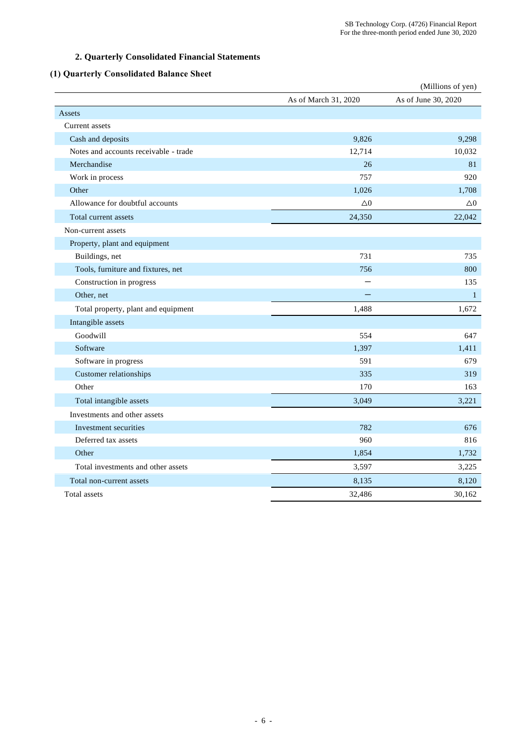# **2. Quarterly Consolidated Financial Statements**

# **(1) Quarterly Consolidated Balance Sheet**

|                                       |                          | (Millions of yen)   |
|---------------------------------------|--------------------------|---------------------|
|                                       | As of March 31, 2020     | As of June 30, 2020 |
| Assets                                |                          |                     |
| Current assets                        |                          |                     |
| Cash and deposits                     | 9,826                    | 9,298               |
| Notes and accounts receivable - trade | 12,714                   | 10,032              |
| Merchandise                           | 26                       | 81                  |
| Work in process                       | 757                      | 920                 |
| Other                                 | 1,026                    | 1,708               |
| Allowance for doubtful accounts       | $\triangle$ <sup>0</sup> | $\Delta 0$          |
| Total current assets                  | 24,350                   | 22,042              |
| Non-current assets                    |                          |                     |
| Property, plant and equipment         |                          |                     |
| Buildings, net                        | 731                      | 735                 |
| Tools, furniture and fixtures, net    | 756                      | 800                 |
| Construction in progress              |                          | 135                 |
| Other, net                            |                          | $\mathbf{1}$        |
| Total property, plant and equipment   | 1,488                    | 1,672               |
| Intangible assets                     |                          |                     |
| Goodwill                              | 554                      | 647                 |
| Software                              | 1,397                    | 1,411               |
| Software in progress                  | 591                      | 679                 |
| Customer relationships                | 335                      | 319                 |
| Other                                 | 170                      | 163                 |
| Total intangible assets               | 3,049                    | 3,221               |
| Investments and other assets          |                          |                     |
| Investment securities                 | 782                      | 676                 |
| Deferred tax assets                   | 960                      | 816                 |
| Other                                 | 1,854                    | 1,732               |
| Total investments and other assets    | 3,597                    | 3,225               |
| Total non-current assets              | 8,135                    | 8,120               |
| Total assets                          | 32,486                   | 30,162              |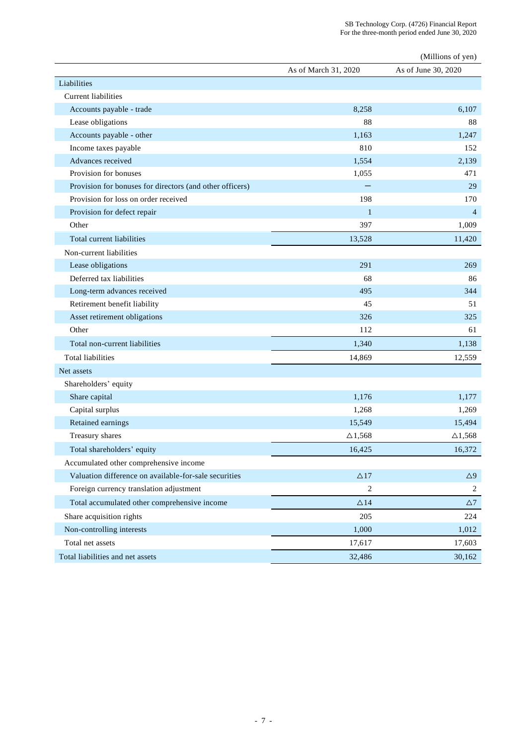|                                                          |                      | (Millions of yen)   |
|----------------------------------------------------------|----------------------|---------------------|
|                                                          | As of March 31, 2020 | As of June 30, 2020 |
| Liabilities                                              |                      |                     |
| <b>Current liabilities</b>                               |                      |                     |
| Accounts payable - trade                                 | 8,258                | 6,107               |
| Lease obligations                                        | 88                   | 88                  |
| Accounts payable - other                                 | 1,163                | 1,247               |
| Income taxes payable                                     | 810                  | 152                 |
| Advances received                                        | 1,554                | 2,139               |
| Provision for bonuses                                    | 1,055                | 471                 |
| Provision for bonuses for directors (and other officers) |                      | 29                  |
| Provision for loss on order received                     | 198                  | 170                 |
| Provision for defect repair                              | $\mathbf{1}$         | $\overline{4}$      |
| Other                                                    | 397                  | 1,009               |
| Total current liabilities                                | 13,528               | 11,420              |
| Non-current liabilities                                  |                      |                     |
| Lease obligations                                        | 291                  | 269                 |
| Deferred tax liabilities                                 | 68                   | 86                  |
| Long-term advances received                              | 495                  | 344                 |
| Retirement benefit liability                             | 45                   | 51                  |
| Asset retirement obligations                             | 326                  | 325                 |
| Other                                                    | 112                  | 61                  |
| Total non-current liabilities                            | 1,340                | 1,138               |
| <b>Total liabilities</b>                                 | 14,869               | 12,559              |
| Net assets                                               |                      |                     |
| Shareholders' equity                                     |                      |                     |
| Share capital                                            | 1,176                | 1,177               |
| Capital surplus                                          | 1,268                | 1,269               |
| Retained earnings                                        | 15,549               | 15,494              |
| Treasury shares                                          | $\Delta$ 1,568       | $\triangle$ 1,568   |
| Total shareholders' equity                               | 16,425               | 16,372              |
| Accumulated other comprehensive income                   |                      |                     |
| Valuation difference on available-for-sale securities    | $\triangle$ 17       | $\Delta$ 9          |
| Foreign currency translation adjustment                  | $\sqrt{2}$           | $\overline{c}$      |
| Total accumulated other comprehensive income             | $\Delta14$           | $\Delta$ 7          |
| Share acquisition rights                                 | 205                  | 224                 |
| Non-controlling interests                                | 1,000                | 1,012               |
| Total net assets                                         | 17,617               | 17,603              |
| Total liabilities and net assets                         | 32,486               | 30,162              |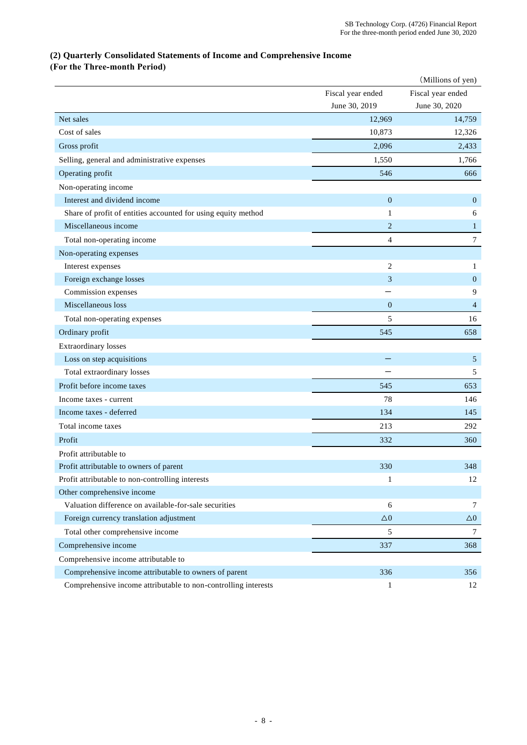## **(2) Quarterly Consolidated Statements of Income and Comprehensive Income**

# **(For the Three-month Period)**

|                                                                |                   | (Millions of yen) |
|----------------------------------------------------------------|-------------------|-------------------|
|                                                                | Fiscal year ended | Fiscal year ended |
|                                                                | June 30, 2019     | June 30, 2020     |
| Net sales                                                      | 12,969            | 14,759            |
| Cost of sales                                                  | 10,873            | 12,326            |
| Gross profit                                                   | 2,096             | 2,433             |
| Selling, general and administrative expenses                   | 1,550             | 1,766             |
| Operating profit                                               | 546               | 666               |
| Non-operating income                                           |                   |                   |
| Interest and dividend income                                   | $\mathbf{0}$      | $\theta$          |
| Share of profit of entities accounted for using equity method  | 1                 | 6                 |
| Miscellaneous income                                           | $\overline{c}$    | $\mathbf{1}$      |
| Total non-operating income                                     | $\overline{4}$    | $\tau$            |
| Non-operating expenses                                         |                   |                   |
| Interest expenses                                              | 2                 | 1                 |
| Foreign exchange losses                                        | 3                 | $\mathbf{0}$      |
| Commission expenses                                            |                   | 9                 |
| Miscellaneous loss                                             | $\mathbf{0}$      | $\overline{4}$    |
| Total non-operating expenses                                   | 5                 | 16                |
| Ordinary profit                                                | 545               | 658               |
| <b>Extraordinary</b> losses                                    |                   |                   |
| Loss on step acquisitions                                      |                   | 5                 |
| Total extraordinary losses                                     |                   | 5                 |
| Profit before income taxes                                     | 545               | 653               |
| Income taxes - current                                         | 78                | 146               |
| Income taxes - deferred                                        | 134               | 145               |
| Total income taxes                                             | 213               | 292               |
| Profit                                                         | 332               | 360               |
| Profit attributable to                                         |                   |                   |
| Profit attributable to owners of parent                        | 330               | 348               |
| Profit attributable to non-controlling interests               | $\mathbf{1}$      | 12                |
| Other comprehensive income                                     |                   |                   |
| Valuation difference on available-for-sale securities          | 6                 | 7                 |
| Foreign currency translation adjustment                        | $\Delta 0$        | $\Delta 0$        |
| Total other comprehensive income                               | 5                 | $7\phantom{.0}$   |
| Comprehensive income                                           | 337               | 368               |
| Comprehensive income attributable to                           |                   |                   |
| Comprehensive income attributable to owners of parent          | 336               | 356               |
| Comprehensive income attributable to non-controlling interests | 1                 | 12                |